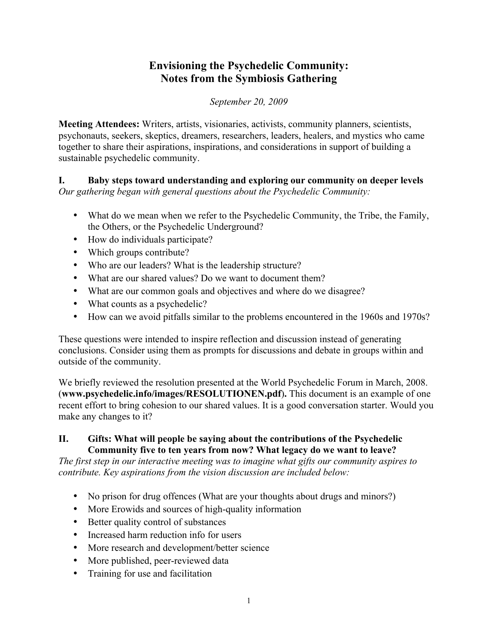# **Envisioning the Psychedelic Community: Notes from the Symbiosis Gathering**

*September 20, 2009*

**Meeting Attendees:** Writers, artists, visionaries, activists, community planners, scientists, psychonauts, seekers, skeptics, dreamers, researchers, leaders, healers, and mystics who came together to share their aspirations, inspirations, and considerations in support of building a sustainable psychedelic community.

**I. Baby steps toward understanding and exploring our community on deeper levels** *Our gathering began with general questions about the Psychedelic Community:*

- What do we mean when we refer to the Psychedelic Community, the Tribe, the Family, the Others, or the Psychedelic Underground?
- How do individuals participate?
- Which groups contribute?
- Who are our leaders? What is the leadership structure?
- What are our shared values? Do we want to document them?
- What are our common goals and objectives and where do we disagree?
- What counts as a psychedelic?
- How can we avoid pitfalls similar to the problems encountered in the 1960s and 1970s?

These questions were intended to inspire reflection and discussion instead of generating conclusions. Consider using them as prompts for discussions and debate in groups within and outside of the community.

We briefly reviewed the resolution presented at the World Psychedelic Forum in March, 2008. (**www.psychedelic.info/images/RESOLUTIONEN.pdf**)**.** This document is an example of one recent effort to bring cohesion to our shared values. It is a good conversation starter. Would you make any changes to it?

#### **II. Gifts: What will people be saying about the contributions of the Psychedelic Community five to ten years from now? What legacy do we want to leave?**

*The first step in our interactive meeting was to imagine what gifts our community aspires to contribute. Key aspirations from the vision discussion are included below:*

- No prison for drug offences (What are your thoughts about drugs and minors?)
- More Erowids and sources of high-quality information
- Better quality control of substances
- Increased harm reduction info for users
- More research and development/better science
- More published, peer-reviewed data
- Training for use and facilitation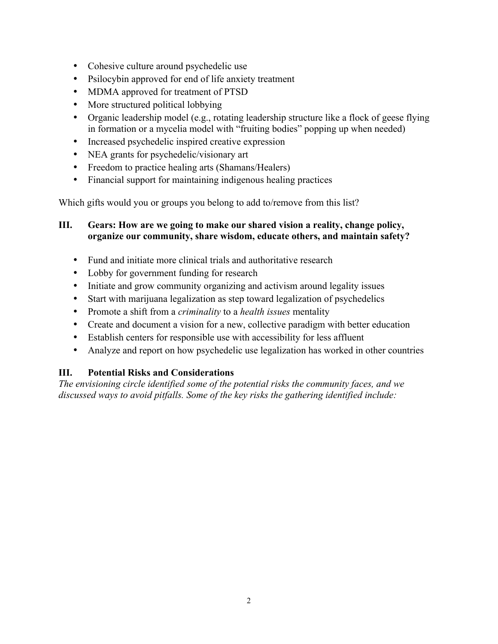- Cohesive culture around psychedelic use
- Psilocybin approved for end of life anxiety treatment
- MDMA approved for treatment of PTSD
- More structured political lobbying
- Organic leadership model (e.g., rotating leadership structure like a flock of geese flying in formation or a mycelia model with "fruiting bodies" popping up when needed)
- Increased psychedelic inspired creative expression
- NEA grants for psychedelic/visionary art
- Freedom to practice healing arts (Shamans/Healers)
- Financial support for maintaining indigenous healing practices

Which gifts would you or groups you belong to add to/remove from this list?

#### **III. Gears: How are we going to make our shared vision a reality, change policy, organize our community, share wisdom, educate others, and maintain safety?**

- Fund and initiate more clinical trials and authoritative research
- Lobby for government funding for research
- Initiate and grow community organizing and activism around legality issues
- Start with marijuana legalization as step toward legalization of psychedelics
- Promote a shift from a *criminality* to a *health issues* mentality
- Create and document a vision for a new, collective paradigm with better education
- Establish centers for responsible use with accessibility for less affluent
- Analyze and report on how psychedelic use legalization has worked in other countries

#### **III. Potential Risks and Considerations**

*The envisioning circle identified some of the potential risks the community faces, and we discussed ways to avoid pitfalls. Some of the key risks the gathering identified include:*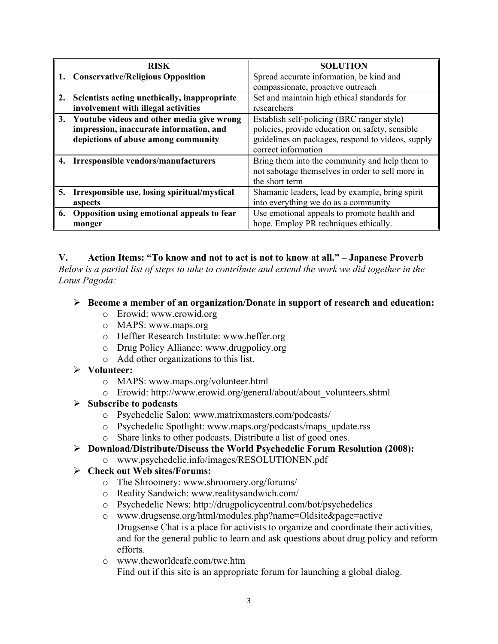|    | <b>RISK</b>                                  | <b>SOLUTION</b>                                   |
|----|----------------------------------------------|---------------------------------------------------|
|    | 1. Conservative/Religious Opposition         | Spread accurate information, be kind and          |
|    |                                              | compassionate, proactive outreach                 |
| 2. | Scientists acting unethically, inappropriate | Set and maintain high ethical standards for       |
|    | involvement with illegal activities          | researchers                                       |
| 3. | Youtube videos and other media give wrong    | Establish self-policing (BRC ranger style)        |
|    | impression, inaccurate information, and      | policies, provide education on safety, sensible   |
|    | depictions of abuse among community          | guidelines on packages, respond to videos, supply |
|    |                                              | correct information                               |
| 4. | Irresponsible vendors/manufacturers          | Bring them into the community and help them to    |
|    |                                              | not sabotage themselves in order to sell more in  |
|    |                                              | the short term                                    |
| 5. | Irresponsible use, losing spiritual/mystical | Shamanic leaders, lead by example, bring spirit   |
|    | aspects                                      | into everything we do as a community              |
| 6. | Opposition using emotional appeals to fear   | Use emotional appeals to promote health and       |
|    | monger                                       | hope. Employ PR techniques ethically.             |

#### **V. Action Items: "To know and not to act is not to know at all." – Japanese Proverb**

*Below is a partial list of steps to take to contribute and extend the work we did together in the Lotus Pagoda:* 

#### **Become a member of an organization/Donate in support of research and education:**

- o Erowid: www.erowid.org
- o MAPS: www.maps.org
- o Heffter Research Institute: www.heffer.org
- o Drug Policy Alliance: www.drugpolicy.org
- o Add other organizations to this list.

#### **Volunteer:**

- o MAPS: www.maps.org/volunteer.html
- o Erowid: http://www.erowid.org/general/about/about\_volunteers.shtml

## **Subscribe to podcasts**

- o Psychedelic Salon: www.matrixmasters.com/podcasts/
- o Psychedelic Spotlight: www.maps.org/podcasts/maps\_update.rss
- o Share links to other podcasts. Distribute a list of good ones.

## **Download/Distribute/Discuss the World Psychedelic Forum Resolution (2008):**

o www.psychedelic.info/images/RESOLUTIONEN.pdf

## **Check out Web sites/Forums:**

- o The Shroomery: www.shroomery.org/forums/
- o Reality Sandwich: www.realitysandwich.com/
- o Psychedelic News: http://drugpolicycentral.com/bot/psychedelics
- o www.drugsense.org/html/modules.php?name=Oldsite&page=active Drugsense Chat is a place for activists to organize and coordinate their activities, and for the general public to learn and ask questions about drug policy and reform efforts.
- o www.theworldcafe.com/twc.htm

Find out if this site is an appropriate forum for launching a global dialog.